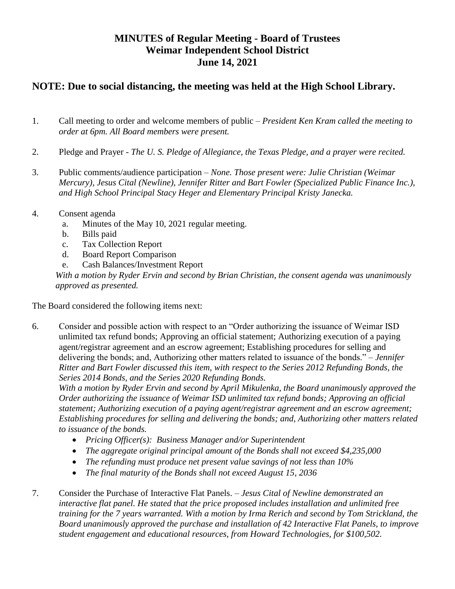## **MINUTES of Regular Meeting - Board of Trustees Weimar Independent School District June 14, 2021**

## **NOTE: Due to social distancing, the meeting was held at the High School Library.**

- 1. Call meeting to order and welcome members of public *President Ken Kram called the meeting to order at 6pm. All Board members were present.*
- 2. Pledge and Prayer *The U. S. Pledge of Allegiance, the Texas Pledge, and a prayer were recited.*
- 3. Public comments/audience participation *None. Those present were: Julie Christian (Weimar Mercury), Jesus Cital (Newline), Jennifer Ritter and Bart Fowler (Specialized Public Finance Inc.), and High School Principal Stacy Heger and Elementary Principal Kristy Janecka.*
- 4. Consent agenda
	- a. Minutes of the May 10, 2021 regular meeting.
	- b. Bills paid
	- c. Tax Collection Report
	- d. Board Report Comparison
	- e. Cash Balances/Investment Report

*With a motion by Ryder Ervin and second by Brian Christian, the consent agenda was unanimously approved as presented.*

The Board considered the following items next:

6. Consider and possible action with respect to an "Order authorizing the issuance of Weimar ISD unlimited tax refund bonds; Approving an official statement; Authorizing execution of a paying agent/registrar agreement and an escrow agreement; Establishing procedures for selling and delivering the bonds; and, Authorizing other matters related to issuance of the bonds." – *Jennifer Ritter and Bart Fowler discussed this item, with respect to the Series 2012 Refunding Bonds, the Series 2014 Bonds, and the Series 2020 Refunding Bonds.* 

*With a motion by Ryder Ervin and second by April Mikulenka, the Board unanimously approved the Order authorizing the issuance of Weimar ISD unlimited tax refund bonds; Approving an official statement; Authorizing execution of a paying agent/registrar agreement and an escrow agreement; Establishing procedures for selling and delivering the bonds; and, Authorizing other matters related to issuance of the bonds.*

- *Pricing Officer(s): Business Manager and/or Superintendent*
- *The aggregate original principal amount of the Bonds shall not exceed \$4,235,000*
- *The refunding must produce net present value savings of not less than 10%*
- *The final maturity of the Bonds shall not exceed August 15, 2036*
- 7. Consider the Purchase of Interactive Flat Panels. *Jesus Cital of Newline demonstrated an interactive flat panel. He stated that the price proposed includes installation and unlimited free training for the 7 years warranted. With a motion by Irma Rerich and second by Tom Strickland, the Board unanimously approved the purchase and installation of 42 Interactive Flat Panels, to improve student engagement and educational resources, from Howard Technologies, for \$100,502.*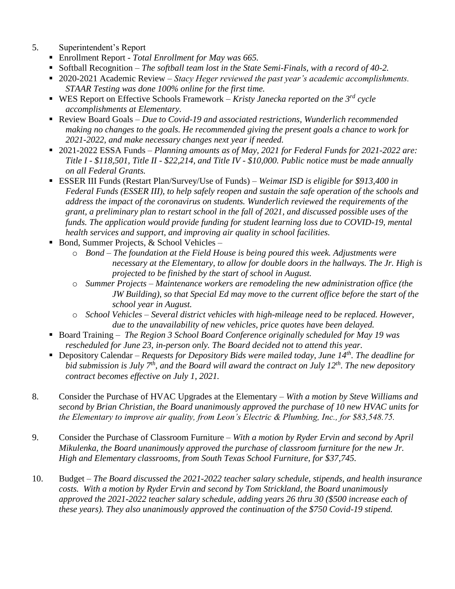- 5. Superintendent's Report
	- Enrollment Report *- Total Enrollment for May was 665.*
	- Softball Recognition *The softball team lost in the State Semi-Finals, with a record of 40-2.*
	- 2020-2021 Academic Review *Stacy Heger reviewed the past year's academic accomplishments. STAAR Testing was done 100% online for the first time.*
	- WES Report on Effective Schools Framework *Kristy Janecka reported on the 3<sup>rd</sup> cycle accomplishments at Elementary.*
	- Review Board Goals *Due to Covid-19 and associated restrictions, Wunderlich recommended making no changes to the goals. He recommended giving the present goals a chance to work for 2021-2022, and make necessary changes next year if needed.*
	- 2021-2022 ESSA Funds *Planning amounts as of May, 2021 for Federal Funds for 2021-2022 are: Title I - \$118,501, Title II - \$22,214, and Title IV - \$10,000. Public notice must be made annually on all Federal Grants.*
	- ESSER III Funds (Restart Plan/Survey/Use of Funds) *Weimar ISD is eligible for \$913,400 in Federal Funds (ESSER III), to help safely reopen and sustain the safe operation of the schools and address the impact of the coronavirus on students. Wunderlich reviewed the requirements of the grant, a preliminary plan to restart school in the fall of 2021, and discussed possible uses of the funds. The application would provide funding for student learning loss due to COVID-19, mental health services and support, and improving air quality in school facilities.*
	- Bond, Summer Projects,  $&$  School Vehicles
		- o *Bond – The foundation at the Field House is being poured this week. Adjustments were necessary at the Elementary, to allow for double doors in the hallways. The Jr. High is projected to be finished by the start of school in August.*
		- o *Summer Projects – Maintenance workers are remodeling the new administration office (the JW Building), so that Special Ed may move to the current office before the start of the school year in August.*
		- o *School Vehicles – Several district vehicles with high-mileage need to be replaced. However, due to the unavailability of new vehicles, price quotes have been delayed.*
	- Board Training *The Region 3 School Board Conference originally scheduled for May 19 was rescheduled for June 23, in-person only. The Board decided not to attend this year.*
	- Depository Calendar *Requests for Depository Bids were mailed today, June 14<sup>th</sup>. The deadline for bid submission is July 7th, and the Board will award the contract on July 12th. The new depository contract becomes effective on July 1, 2021.*
- 8. Consider the Purchase of HVAC Upgrades at the Elementary *With a motion by Steve Williams and second by Brian Christian, the Board unanimously approved the purchase of 10 new HVAC units for the Elementary to improve air quality, from Leon's Electric & Plumbing, Inc., for \$83,548.75.*
- 9. Consider the Purchase of Classroom Furniture *With a motion by Ryder Ervin and second by April Mikulenka, the Board unanimously approved the purchase of classroom furniture for the new Jr. High and Elementary classrooms, from South Texas School Furniture, for \$37,745.*
- 10. Budget *The Board discussed the 2021-2022 teacher salary schedule, stipends, and health insurance costs. With a motion by Ryder Ervin and second by Tom Strickland, the Board unanimously approved the 2021-2022 teacher salary schedule, adding years 26 thru 30 (\$500 increase each of these years). They also unanimously approved the continuation of the \$750 Covid-19 stipend.*